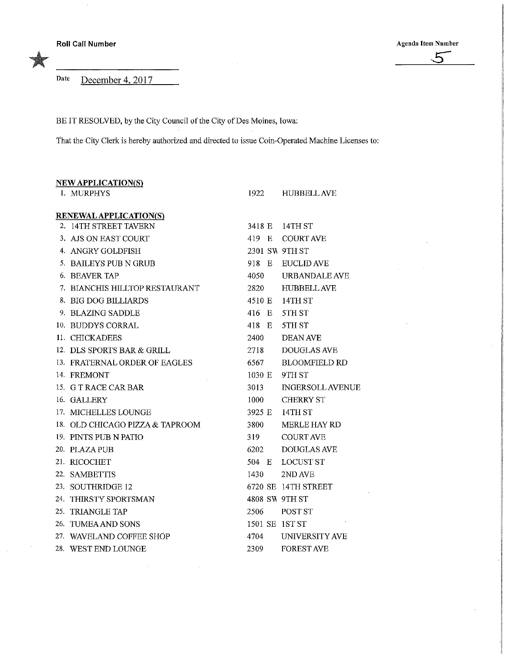**Roll Call Number Agenda Item Number Agenda Item Number** Agenda Item Number Agenda Item Number

Date December 4, 2017

BE IT RESOLVED, by the City Council of the City of Des Moines, Iowa:

That the City Clerk is hereby authorized and directed to issue Coin-Operated Machine Licenses to:

| <b>NEW APPLICATION(S)</b>       |        |                         |
|---------------------------------|--------|-------------------------|
| 1. MURPHYS                      | 1922 — | <b>HUBBELL AVE</b>      |
| <b>RENEWAL APPLICATION(S)</b>   |        |                         |
| 2. 14TH STREET TAVERN           |        | 3418 E 14TH ST          |
| 3. AJS ON EAST COURT            |        | 419 E COURTAVE          |
| 4. ANGRY GOLDFISH               |        | 2301 SW 9TH ST          |
| 5. BAILEYS PUB N GRUB           | 918 E  | <b>EUCLID AVE</b>       |
| 6. BEAVER TAP                   | 4050   | <b>URBANDALE AVE</b>    |
| 7. BIANCHIS HILLTOP RESTAURANT  | 2820   | <b>HUBBELL AVE</b>      |
| 8. BIG DOG BILLIARDS            |        | 4510 E 14TH ST          |
| 9. BLAZING SADDLE               | 416 E  | 5TH ST                  |
| 10. BUDDYS CORRAL               | 418 E  | 5TH ST                  |
| 11. CHICKADEES                  | 2400   | <b>DEAN AVE</b>         |
| 12. DLS SPORTS BAR & GRILL      | 2718   | <b>DOUGLAS AVE</b>      |
| 13. FRATERNAL ORDER OF EAGLES   | 6567   | <b>BLOOMFIELD RD</b>    |
| 14. FREMONT                     | 1030 E | 9TH ST                  |
| 15. G T RACE CAR BAR            | 3013   | <b>INGERSOLL AVENUE</b> |
| 16. GALLERY                     | 1000   | <b>CHERRY ST</b>        |
| 17. MICHELLES LOUNGE            | 3925 E | 14TH ST                 |
| 18. OLD CHICAGO PIZZA & TAPROOM | 3800   | <b>MERLE HAY RD</b>     |
| 19. PINTS PUB N PATIO           | 319    | <b>COURT AVE</b>        |
| 20. PLAZA PUB                   | 6202   | <b>DOUGLAS AVE</b>      |
| 21. RICOCHET                    | 504 E  | <b>LOCUST ST</b>        |
| 22. SAMBETTIS                   | 1430   | 2ND AVE                 |
| 23. SOUTHRIDGE 12               |        | 6720 SE 14TH STREET     |
| 24. THIRSTY SPORTSMAN           |        | 4808 SW 9TH ST          |
| 25. TRIANGLE TAP                | 2506   | POST ST                 |
| 26. TUMEA AND SONS              |        | 1501 SE 1ST ST          |
| 27. WAVELAND COFFEE SHOP        | 4704   | UNIVERSITY AVE          |
| 28. WEST END LOUNGE             | 2309   | <b>FOREST AVE</b>       |